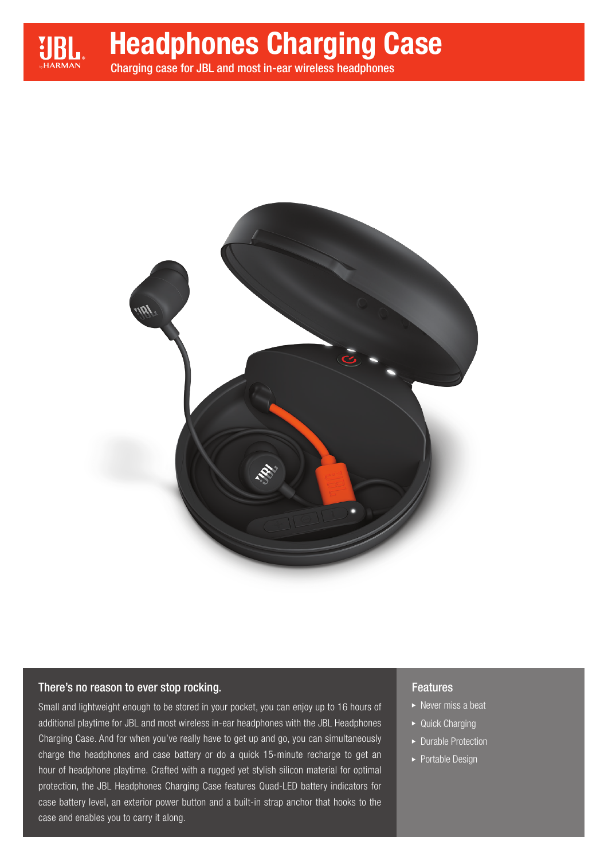

# Headphones Charging Case

Charging case for JBL and most in-ear wireless headphones



## There's no reason to ever stop rocking.

Small and lightweight enough to be stored in your pocket, you can enjoy up to 16 hours of additional playtime for JBL and most wireless in-ear headphones with the JBL Headphones Charging Case. And for when you've really have to get up and go, you can simultaneously charge the headphones and case battery or do a quick 15-minute recharge to get an hour of headphone playtime. Crafted with a rugged yet stylish silicon material for optimal protection, the JBL Headphones Charging Case features Quad-LED battery indicators for case battery level, an exterior power button and a built-in strap anchor that hooks to the case and enables you to carry it along.

## Features

- $\triangleright$  Never miss a beat
- ▶ Quick Charging
- ▶ Durable Protection
- ▶ Portable Design